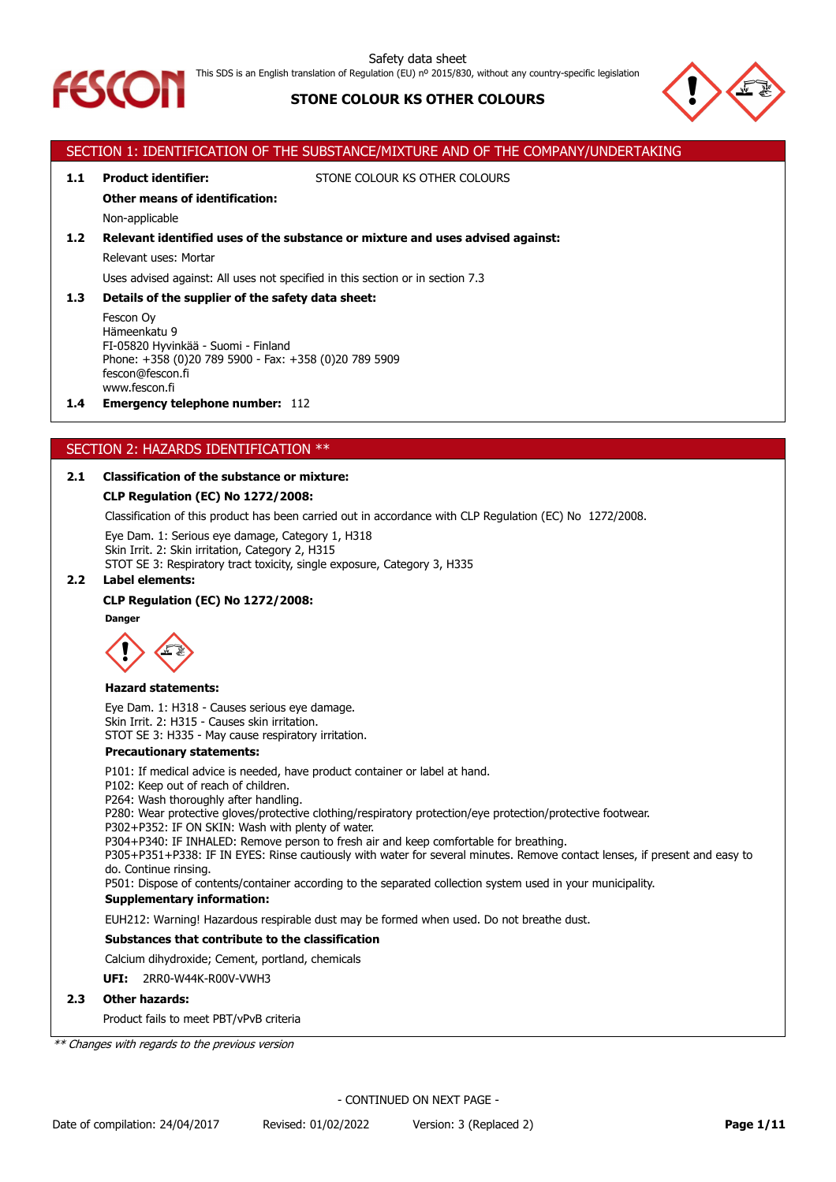

# This SDS is an English translation of Regulation (EU) nº 2015/830, without any country-specific legislation

# **STONE COLOUR KS OTHER COLOURS**



# SECTION 1: IDENTIFICATION OF THE SUBSTANCE/MIXTURE AND OF THE COMPANY/UNDERTAKING **1.1 Product identifier:** STONE COLOUR KS OTHER COLOURS **Other means of identification:** Non-applicable **1.2 Relevant identified uses of the substance or mixture and uses advised against:** Relevant uses: Mortar Uses advised against: All uses not specified in this section or in section 7.3 **1.3 Details of the supplier of the safety data sheet:** Fescon Oy Hämeenkatu 9 FI-05820 Hyvinkää - Suomi - Finland Phone: +358 (0)20 789 5900 - Fax: +358 (0)20 789 5909 fescon@fescon.fi www.fescon.fi **1.4 Emergency telephone number:** 112 SECTION 2: HAZARDS IDENTIFICATION \*\* **2.1 Classification of the substance or mixture: CLP Regulation (EC) No 1272/2008:**

Classification of this product has been carried out in accordance with CLP Regulation (EC) No 1272/2008.

Eye Dam. 1: Serious eye damage, Category 1, H318 Skin Irrit. 2: Skin irritation, Category 2, H315 STOT SE 3: Respiratory tract toxicity, single exposure, Category 3, H335

### **2.2 Label elements:**

# **CLP Regulation (EC) No 1272/2008:**

**Danger**



### **Hazard statements:**

Eye Dam. 1: H318 - Causes serious eye damage. Skin Irrit. 2: H315 - Causes skin irritation. STOT SE 3: H335 - May cause respiratory irritation.

### **Precautionary statements:**

P101: If medical advice is needed, have product container or label at hand.

P102: Keep out of reach of children.

P264: Wash thoroughly after handling.

P280: Wear protective gloves/protective clothing/respiratory protection/eye protection/protective footwear.

P302+P352: IF ON SKIN: Wash with plenty of water.

P304+P340: IF INHALED: Remove person to fresh air and keep comfortable for breathing.

P305+P351+P338: IF IN EYES: Rinse cautiously with water for several minutes. Remove contact lenses, if present and easy to do. Continue rinsing.

P501: Dispose of contents/container according to the separated collection system used in your municipality.

# **Supplementary information:**

EUH212: Warning! Hazardous respirable dust may be formed when used. Do not breathe dust.

# **Substances that contribute to the classification**

Calcium dihydroxide; Cement, portland, chemicals

**UFI:** 2RR0-W44K-R00V-VWH3

# **2.3 Other hazards:**

Product fails to meet PBT/vPvB criteria

*\*\* Changes with regards to the previous version*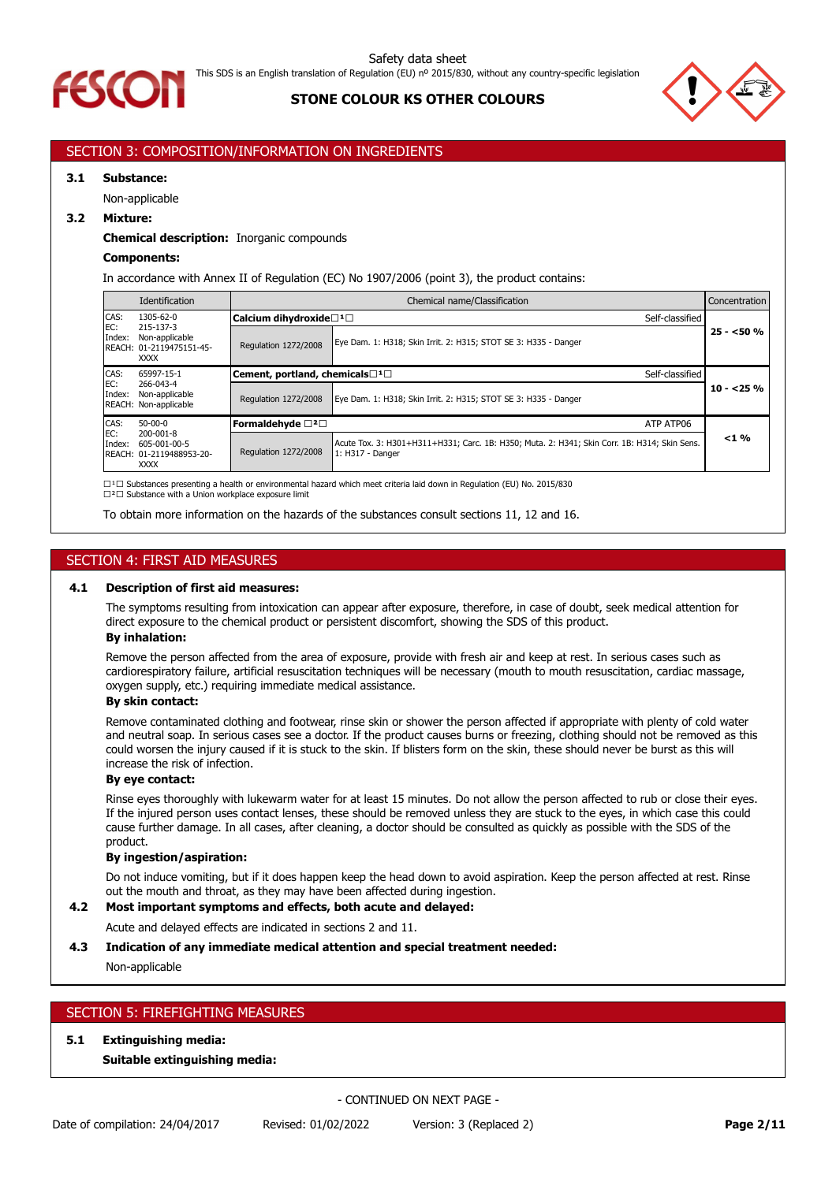



# SECTION 3: COMPOSITION/INFORMATION ON INGREDIENTS

### **3.1 Substance:**

Non-applicable

### **3.2 Mixture:**

### **Chemical description:** Inorganic compounds

### **Components:**

In accordance with Annex II of Regulation (EC) No 1907/2006 (point 3), the product contains:

|               | Identification                                                             | Chemical name/Classification                  |                                                                                                                  |            |
|---------------|----------------------------------------------------------------------------|-----------------------------------------------|------------------------------------------------------------------------------------------------------------------|------------|
| CAS:          | $1305 - 62 - 0$                                                            | Calcium dihydroxide□1□                        | Self-classified                                                                                                  |            |
| EC:<br>Index: | 215-137-3<br>Non-applicable<br>REACH: 01-2119475151-45-<br><b>XXXX</b>     | Regulation 1272/2008                          | Eye Dam. 1: H318; Skin Irrit. 2: H315; STOT SE 3: H335 - Danger                                                  | $25 - 50%$ |
| CAS:          | 65997-15-1                                                                 | Cement, portland, chemicals□1□                | Self-classified                                                                                                  |            |
| EC:<br>Index: | 266-043-4<br>Non-applicable<br>REACH: Non-applicable                       | <b>Regulation 1272/2008</b>                   | Eye Dam. 1: H318; Skin Irrit. 2: H315; STOT SE 3: H335 - Danger                                                  | $10 - 25%$ |
| CAS:          | $50-00-0$                                                                  | Formaldehvde $\square$ <sup>2</sup> $\square$ | ATP ATP06                                                                                                        |            |
| EC:<br>Index: | $200 - 001 - 8$<br>605-001-00-5<br>REACH: 01-2119488953-20-<br><b>XXXX</b> | Regulation 1272/2008                          | Acute Tox. 3: H301+H311+H331; Carc. 1B: H350; Muta. 2: H341; Skin Corr. 1B: H314; Skin Sens.<br>1: H317 - Danger | $< 1 \%$   |

 $\square$ <sup>1</sup> $\square$  Substances presenting a health or environmental hazard which meet criteria laid down in Regulation (EU) No. 2015/830 □<sup>2</sup>□ Substance with a Union workplace exposure limit

To obtain more information on the hazards of the substances consult sections 11, 12 and 16.

# SECTION 4: FIRST AID MEASURES

#### **4.1 Description of first aid measures:**

The symptoms resulting from intoxication can appear after exposure, therefore, in case of doubt, seek medical attention for direct exposure to the chemical product or persistent discomfort, showing the SDS of this product.

# **By inhalation:**

Remove the person affected from the area of exposure, provide with fresh air and keep at rest. In serious cases such as cardiorespiratory failure, artificial resuscitation techniques will be necessary (mouth to mouth resuscitation, cardiac massage, oxygen supply, etc.) requiring immediate medical assistance.

# **By skin contact:**

Remove contaminated clothing and footwear, rinse skin or shower the person affected if appropriate with plenty of cold water and neutral soap. In serious cases see a doctor. If the product causes burns or freezing, clothing should not be removed as this could worsen the injury caused if it is stuck to the skin. If blisters form on the skin, these should never be burst as this will increase the risk of infection.

#### **By eye contact:**

Rinse eyes thoroughly with lukewarm water for at least 15 minutes. Do not allow the person affected to rub or close their eyes. If the injured person uses contact lenses, these should be removed unless they are stuck to the eyes, in which case this could cause further damage. In all cases, after cleaning, a doctor should be consulted as quickly as possible with the SDS of the product.

#### **By ingestion/aspiration:**

Do not induce vomiting, but if it does happen keep the head down to avoid aspiration. Keep the person affected at rest. Rinse out the mouth and throat, as they may have been affected during ingestion.

# **4.2 Most important symptoms and effects, both acute and delayed:**

Acute and delayed effects are indicated in sections 2 and 11.

### **4.3 Indication of any immediate medical attention and special treatment needed:**

Non-applicable

# SECTION 5: FIREFIGHTING MEASURES

### **5.1 Extinguishing media:**

### **Suitable extinguishing media:**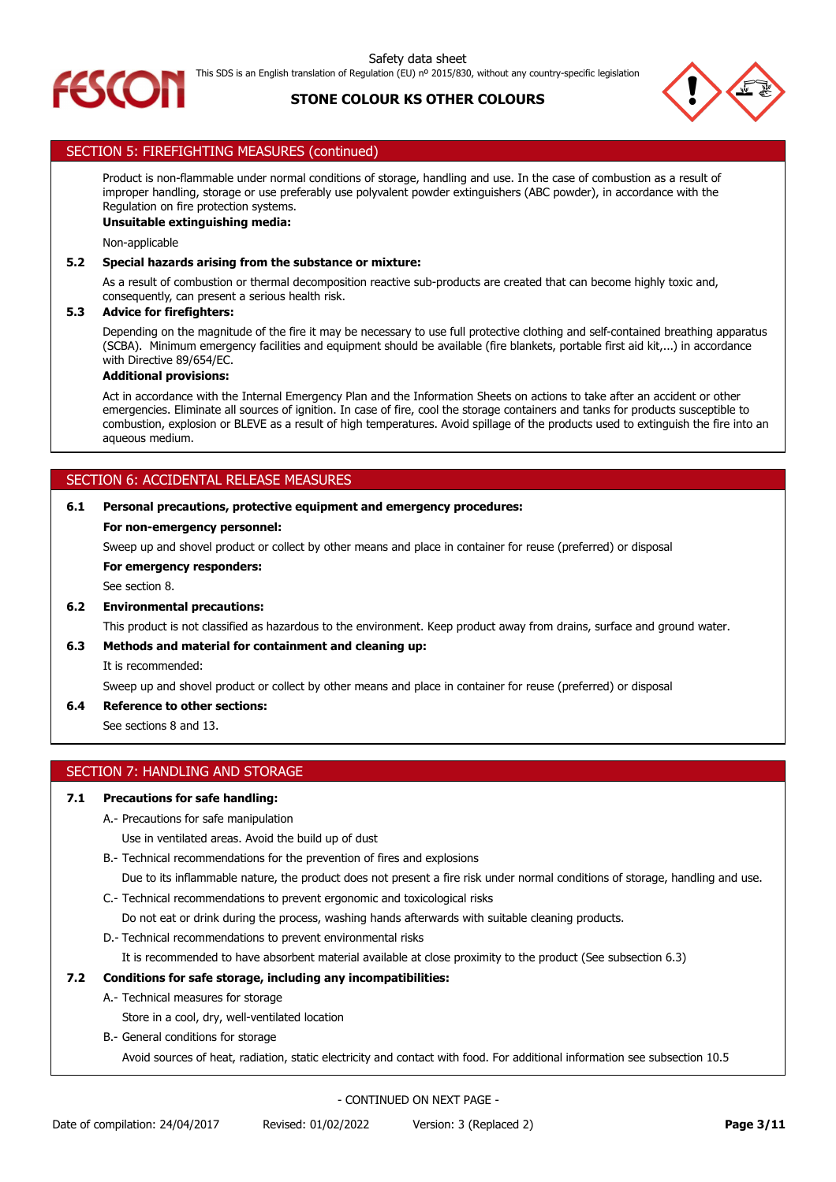



# SECTION 5: FIREFIGHTING MEASURES (continued)

Product is non-flammable under normal conditions of storage, handling and use. In the case of combustion as a result of improper handling, storage or use preferably use polyvalent powder extinguishers (ABC powder), in accordance with the Regulation on fire protection systems.

# **Unsuitable extinguishing media:**

Non-applicable

### **5.2 Special hazards arising from the substance or mixture:**

As a result of combustion or thermal decomposition reactive sub-products are created that can become highly toxic and, consequently, can present a serious health risk.

### **5.3 Advice for firefighters:**

Depending on the magnitude of the fire it may be necessary to use full protective clothing and self-contained breathing apparatus (SCBA). Minimum emergency facilities and equipment should be available (fire blankets, portable first aid kit,...) in accordance with Directive 89/654/EC.

## **Additional provisions:**

Act in accordance with the Internal Emergency Plan and the Information Sheets on actions to take after an accident or other emergencies. Eliminate all sources of ignition. In case of fire, cool the storage containers and tanks for products susceptible to combustion, explosion or BLEVE as a result of high temperatures. Avoid spillage of the products used to extinguish the fire into an aqueous medium.

# SECTION 6: ACCIDENTAL RELEASE MEASURES

### **6.1 Personal precautions, protective equipment and emergency procedures:**

### **For non-emergency personnel:**

Sweep up and shovel product or collect by other means and place in container for reuse (preferred) or disposal

**For emergency responders:**

See section 8.

# **6.2 Environmental precautions:**

This product is not classified as hazardous to the environment. Keep product away from drains, surface and ground water.

# **6.3 Methods and material for containment and cleaning up:**

It is recommended:

Sweep up and shovel product or collect by other means and place in container for reuse (preferred) or disposal

### **6.4 Reference to other sections:**

See sections 8 and 13.

### SECTION 7: HANDLING AND STORAGE

### **7.1 Precautions for safe handling:**

A.- Precautions for safe manipulation

Use in ventilated areas. Avoid the build up of dust

B.- Technical recommendations for the prevention of fires and explosions

- Due to its inflammable nature, the product does not present a fire risk under normal conditions of storage, handling and use.
- C.- Technical recommendations to prevent ergonomic and toxicological risks

Do not eat or drink during the process, washing hands afterwards with suitable cleaning products.

D.- Technical recommendations to prevent environmental risks

It is recommended to have absorbent material available at close proximity to the product (See subsection 6.3)

# **7.2 Conditions for safe storage, including any incompatibilities:**

A.- Technical measures for storage

Store in a cool, dry, well-ventilated location

B.- General conditions for storage

Avoid sources of heat, radiation, static electricity and contact with food. For additional information see subsection 10.5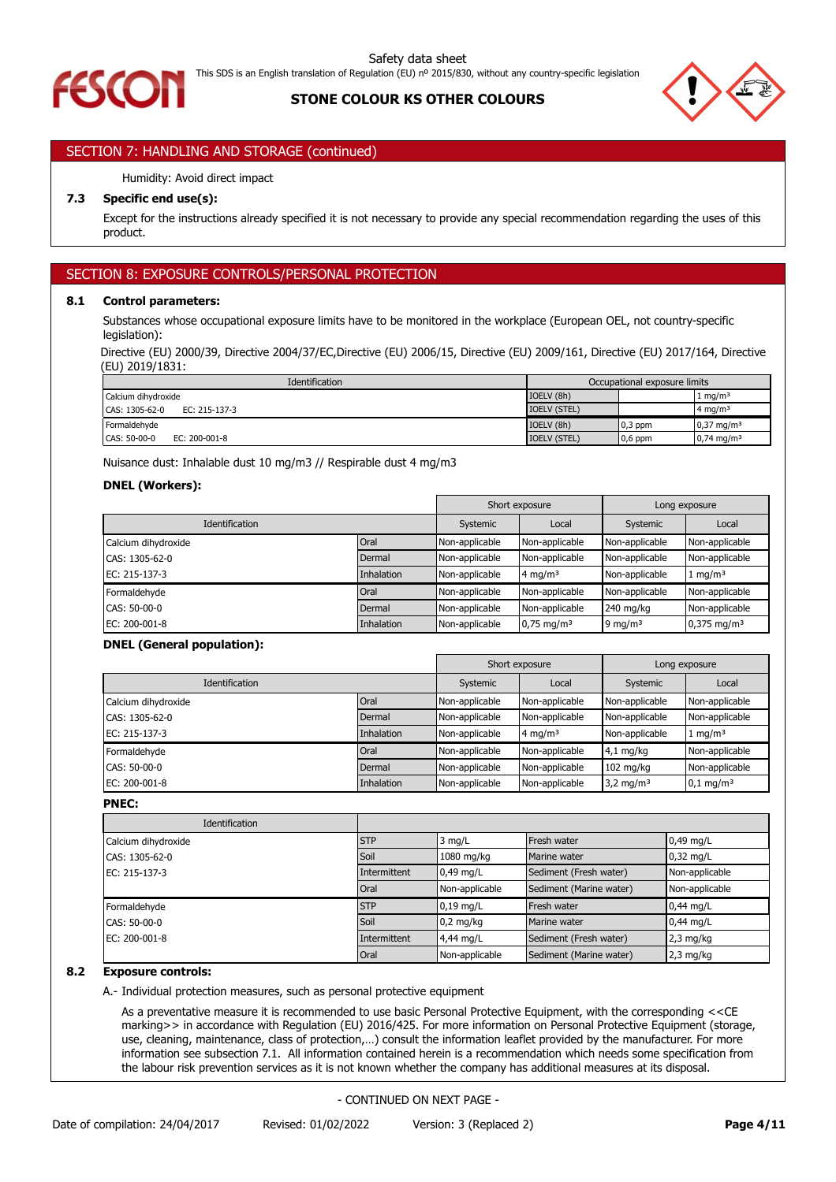# SECTION 7: HANDLING AND STORAGE (continued)

# Humidity: Avoid direct impact

# **7.3 Specific end use(s):**

Except for the instructions already specified it is not necessary to provide any special recommendation regarding the uses of this product.

# SECTION 8: EXPOSURE CONTROLS/PERSONAL PROTECTION

## **8.1 Control parameters:**

Substances whose occupational exposure limits have to be monitored in the workplace (European OEL, not country-specific legislation):

Directive (EU) 2000/39, Directive 2004/37/EC,Directive (EU) 2006/15, Directive (EU) 2009/161, Directive (EU) 2017/164, Directive (EU) 2019/1831:

| <b>Identification</b>             | Occupational exposure limits |           |                       |
|-----------------------------------|------------------------------|-----------|-----------------------|
| Calcium dihydroxide               | IOELV (8h)                   |           | 1 mg/m <sup>3</sup>   |
| $EC: 215-137-3$<br>CAS: 1305-62-0 | <b>IOELV (STEL)</b>          |           | 4 mg/m <sup>3</sup>   |
| Formaldehyde                      | IOELV (8h)                   | $0,3$ ppm | $0.37 \text{ mg/m}^3$ |
| EC: 200-001-8<br>CAS: 50-00-0     | <b>IOELV (STEL)</b>          | $0,6$ ppm | $0,74 \text{ mg/m}^3$ |

Nuisance dust: Inhalable dust 10 mg/m3 // Respirable dust 4 mg/m3

# **DNEL (Workers):**

|                       |            |                | Short exposure           |                | Long exposure             |
|-----------------------|------------|----------------|--------------------------|----------------|---------------------------|
| <b>Identification</b> | Systemic   | Local          | Systemic                 | Local          |                           |
| Calcium dihydroxide   | Oral       | Non-applicable | Non-applicable           | Non-applicable | Non-applicable            |
| CAS: 1305-62-0        | Dermal     | Non-applicable | Non-applicable           | Non-applicable | Non-applicable            |
| EC: 215-137-3         | Inhalation | Non-applicable | 4 mg/m <sup>3</sup>      | Non-applicable | $1 \text{ mg/m}^3$        |
| Formaldehyde          | Oral       | Non-applicable | Non-applicable           | Non-applicable | Non-applicable            |
| CAS: 50-00-0          | Dermal     | Non-applicable | Non-applicable           | 240 mg/kg      | Non-applicable            |
| EC: 200-001-8         | Inhalation | Non-applicable | $0.75$ mg/m <sup>3</sup> | 9 mg/m $3$     | $0,375$ mg/m <sup>3</sup> |

### **DNEL (General population):**

|                       |            |                | Short exposure |                      | Long exposure        |
|-----------------------|------------|----------------|----------------|----------------------|----------------------|
| <b>Identification</b> |            | Systemic       | Local          | Systemic             | Local                |
| Calcium dihydroxide   | Oral       | Non-applicable | Non-applicable | Non-applicable       | Non-applicable       |
| CAS: 1305-62-0        | Dermal     | Non-applicable | Non-applicable | Non-applicable       | Non-applicable       |
| EC: 215-137-3         | Inhalation | Non-applicable | 4 mg/m $3$     | Non-applicable       | $1 \text{ mg/m}^3$   |
| Formaldehyde          | Oral       | Non-applicable | Non-applicable | $4,1$ mg/kg          | Non-applicable       |
| CAS: 50-00-0          | Dermal     | Non-applicable | Non-applicable | $102$ mg/kg          | Non-applicable       |
| EC: 200-001-8         | Inhalation | Non-applicable | Non-applicable | $3,2 \text{ mg/m}^3$ | $0,1 \text{ mg/m}^3$ |

**PNEC:**

| Identification      |              |                |                         |                |
|---------------------|--------------|----------------|-------------------------|----------------|
| Calcium dihydroxide | <b>STP</b>   | $3$ mg/L       | Fresh water             | 0,49 mg/L      |
| CAS: 1305-62-0      | Soil         | 1080 mg/kg     | Marine water            | $0.32$ mg/L    |
| EC: 215-137-3       | Intermittent | $0.49$ mg/L    | Sediment (Fresh water)  | Non-applicable |
|                     | Oral         | Non-applicable | Sediment (Marine water) | Non-applicable |
| Formaldehyde        | <b>STP</b>   | $0,19$ mg/L    | Fresh water             | $0,44$ mg/L    |
| CAS: 50-00-0        | Soil         | $0,2$ mg/kg    | Marine water            | $0,44$ mg/L    |
| EC: 200-001-8       | Intermittent | 4,44 mg/L      | Sediment (Fresh water)  | $2,3$ mg/kg    |
|                     | Oral         | Non-applicable | Sediment (Marine water) | $2,3$ mg/kg    |

# **8.2 Exposure controls:**

A.- Individual protection measures, such as personal protective equipment

As a preventative measure it is recommended to use basic Personal Protective Equipment, with the corresponding <<CE marking>> in accordance with Regulation (EU) 2016/425. For more information on Personal Protective Equipment (storage, use, cleaning, maintenance, class of protection,…) consult the information leaflet provided by the manufacturer. For more information see subsection 7.1. All information contained herein is a recommendation which needs some specification from the labour risk prevention services as it is not known whether the company has additional measures at its disposal.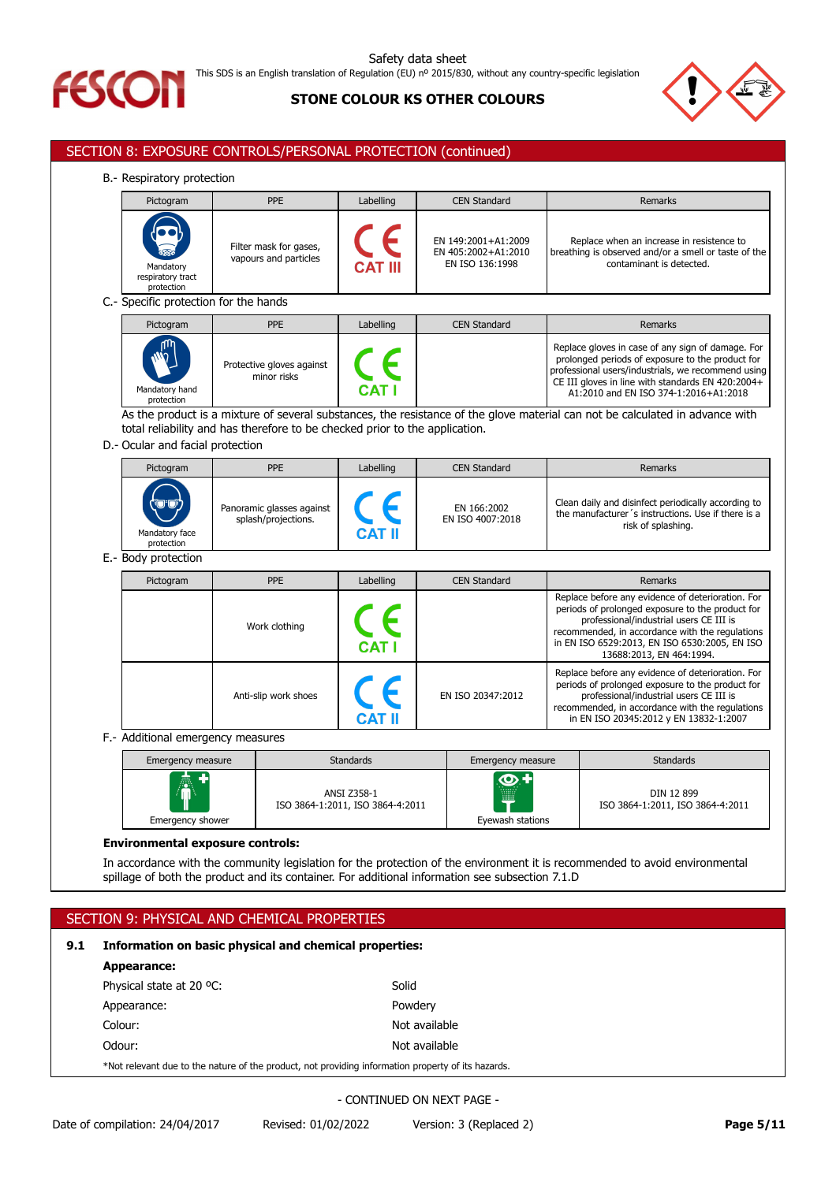



# SECTION 8: EXPOSURE CONTROLS/PERSONAL PROTECTION (continued)

B.- Respiratory protection

| s. Respiratory protection.                                       |                                                 |                |                                                               |                                                                                                                               |  |
|------------------------------------------------------------------|-------------------------------------------------|----------------|---------------------------------------------------------------|-------------------------------------------------------------------------------------------------------------------------------|--|
| Pictogram                                                        | <b>PPE</b>                                      | Labelling      | <b>CEN Standard</b>                                           | Remarks                                                                                                                       |  |
| $\sum_{i=1}^{n}$<br>Mandatory<br>respiratory tract<br>protection | Filter mask for gases,<br>vapours and particles | <b>CAT III</b> | EN 149:2001+A1:2009<br>EN 405:2002+A1:2010<br>EN ISO 136:1998 | Replace when an increase in resistence to<br>breathing is observed and/or a smell or taste of the<br>contaminant is detected. |  |
| C.- Specific protection for the hands                            |                                                 |                |                                                               |                                                                                                                               |  |
| Pictogram                                                        | <b>PPE</b>                                      | Labelling      | <b>CEN Standard</b>                                           | Remarks                                                                                                                       |  |

|                                            | .                                        | LUDCIIIIIY   | <b>ULITUUIKUU</b> | 11511141113                                                                                                                                                                                                                                               |
|--------------------------------------------|------------------------------------------|--------------|-------------------|-----------------------------------------------------------------------------------------------------------------------------------------------------------------------------------------------------------------------------------------------------------|
| <b>AND</b><br>Mandatory hand<br>protection | Protective gloves against<br>minor risks | <b>CAT I</b> |                   | Replace gloves in case of any sign of damage. For<br>prolonged periods of exposure to the product for<br>professional users/industrials, we recommend using<br>CE III gloves in line with standards EN 420:2004+<br>A1:2010 and EN ISO 374-1:2016+A1:2018 |

As the product is a mixture of several substances, the resistance of the glove material can not be calculated in advance with total reliability and has therefore to be checked prior to the application.

### D.- Ocular and facial protection

| Pictogram                           | <b>PPE</b>                                       | Labelling     | <b>CEN Standard</b>             | Remarks                                                                                                                         |
|-------------------------------------|--------------------------------------------------|---------------|---------------------------------|---------------------------------------------------------------------------------------------------------------------------------|
| (پی<br>Mandatory face<br>protection | Panoramic glasses against<br>splash/projections. | <b>CAT II</b> | EN 166:2002<br>EN ISO 4007:2018 | Clean daily and disinfect periodically according to<br>the manufacturer's instructions. Use if there is a<br>risk of splashing. |

E.- Body protection

| Pictogram | <b>PPE</b>           | Labelling    | <b>CEN Standard</b> | Remarks                                                                                                                                                                                                                                                                          |
|-----------|----------------------|--------------|---------------------|----------------------------------------------------------------------------------------------------------------------------------------------------------------------------------------------------------------------------------------------------------------------------------|
|           | Work clothing        | <b>CAT</b>   |                     | Replace before any evidence of deterioration. For<br>periods of prolonged exposure to the product for<br>professional/industrial users CE III is<br>recommended, in accordance with the regulations<br>in EN ISO 6529:2013, EN ISO 6530:2005, EN ISO<br>13688:2013, EN 464:1994. |
|           | Anti-slip work shoes | <b>CAT I</b> | EN ISO 20347:2012   | Replace before any evidence of deterioration. For<br>periods of prolonged exposure to the product for<br>professional/industrial users CE III is<br>recommended, in accordance with the regulations<br>in EN ISO 20345:2012 y EN 13832-1:2007                                    |

F.- Additional emergency measures

| Emergency measure      | <b>Standards</b>                                | Emergency measure                                          | <b>Standards</b>                               |
|------------------------|-------------------------------------------------|------------------------------------------------------------|------------------------------------------------|
| AV<br>Emergency shower | ANSI Z358-1<br>ISO 3864-1:2011, ISO 3864-4:2011 | $\left( 0,1\right)$<br>.<br>.<br><br>E<br>Eyewash stations | DIN 12 899<br>ISO 3864-1:2011, ISO 3864-4:2011 |

### **Environmental exposure controls:**

In accordance with the community legislation for the protection of the environment it is recommended to avoid environmental spillage of both the product and its container. For additional information see subsection 7.1.D

| SECTION 9: PHYSICAL AND CHEMICAL PROPERTIES |                                                                                                    |               |  |  |
|---------------------------------------------|----------------------------------------------------------------------------------------------------|---------------|--|--|
| 9.1                                         | Information on basic physical and chemical properties:                                             |               |  |  |
|                                             | Appearance:                                                                                        |               |  |  |
|                                             | Physical state at 20 °C:                                                                           | Solid         |  |  |
|                                             | Appearance:                                                                                        | Powdery       |  |  |
|                                             | Colour:                                                                                            | Not available |  |  |
|                                             | Odour:                                                                                             | Not available |  |  |
|                                             | *Not relevant due to the nature of the product, not providing information property of its hazards. |               |  |  |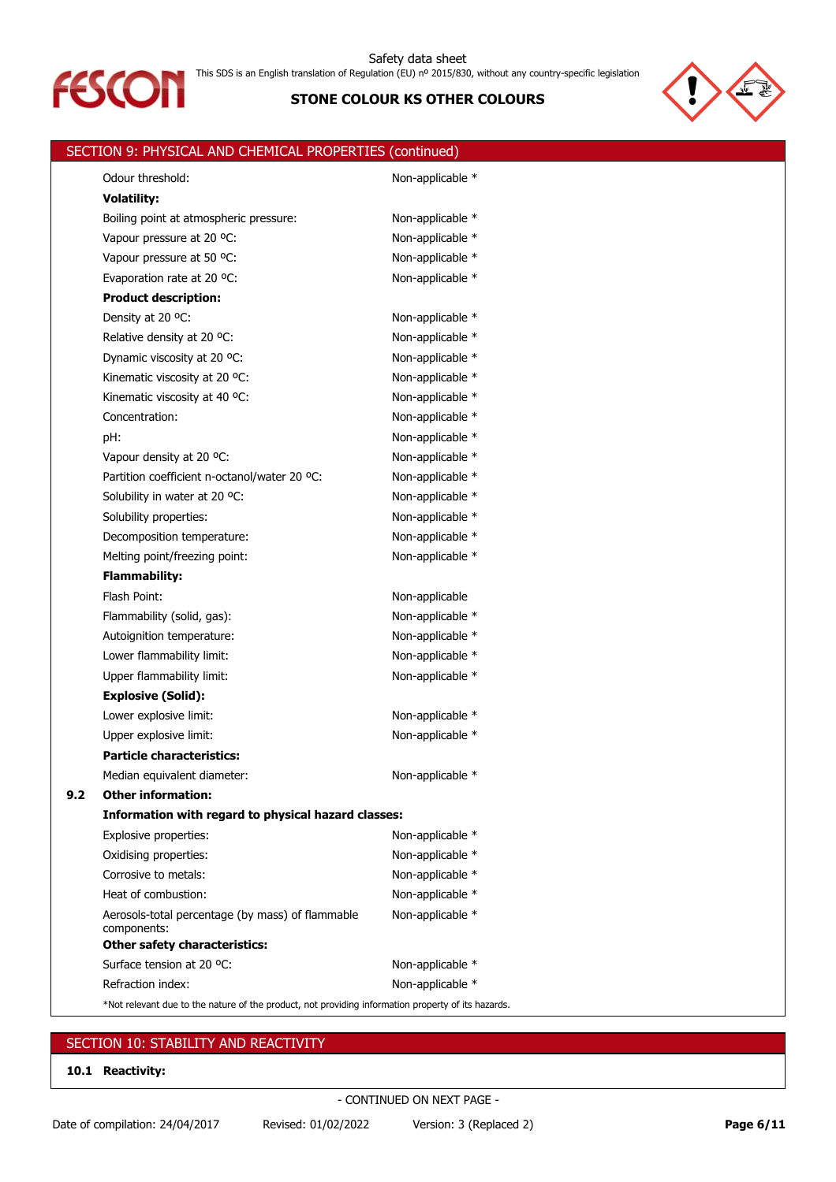



|     | SECTION 9: PHYSICAL AND CHEMICAL PROPERTIES (continued)                                            |                  |
|-----|----------------------------------------------------------------------------------------------------|------------------|
|     | Odour threshold:                                                                                   | Non-applicable * |
|     | <b>Volatility:</b>                                                                                 |                  |
|     | Boiling point at atmospheric pressure:                                                             | Non-applicable * |
|     | Vapour pressure at 20 °C:                                                                          | Non-applicable * |
|     | Vapour pressure at 50 °C:                                                                          | Non-applicable * |
|     | Evaporation rate at 20 °C:                                                                         | Non-applicable * |
|     | <b>Product description:</b>                                                                        |                  |
|     | Density at 20 °C:                                                                                  | Non-applicable * |
|     | Relative density at 20 °C:                                                                         | Non-applicable * |
|     | Dynamic viscosity at 20 °C:                                                                        | Non-applicable * |
|     | Kinematic viscosity at 20 °C:                                                                      | Non-applicable * |
|     | Kinematic viscosity at 40 °C:                                                                      | Non-applicable * |
|     | Concentration:                                                                                     | Non-applicable * |
|     | pH:                                                                                                | Non-applicable * |
|     | Vapour density at 20 °C:                                                                           | Non-applicable * |
|     | Partition coefficient n-octanol/water 20 °C:                                                       | Non-applicable * |
|     | Solubility in water at 20 °C:                                                                      | Non-applicable * |
|     | Solubility properties:                                                                             | Non-applicable * |
|     | Decomposition temperature:                                                                         | Non-applicable * |
|     | Melting point/freezing point:                                                                      | Non-applicable * |
|     | <b>Flammability:</b>                                                                               |                  |
|     | Flash Point:                                                                                       | Non-applicable   |
|     | Flammability (solid, gas):                                                                         | Non-applicable * |
|     | Autoignition temperature:                                                                          | Non-applicable * |
|     | Lower flammability limit:                                                                          | Non-applicable * |
|     | Upper flammability limit:                                                                          | Non-applicable * |
|     | <b>Explosive (Solid):</b>                                                                          |                  |
|     | Lower explosive limit:                                                                             | Non-applicable * |
|     | Upper explosive limit:                                                                             | Non-applicable * |
|     | <b>Particle characteristics:</b>                                                                   |                  |
|     | Median equivalent diameter:                                                                        | Non-applicable * |
| 9.2 | <b>Other information:</b>                                                                          |                  |
|     | Information with regard to physical hazard classes:                                                |                  |
|     | Explosive properties:                                                                              | Non-applicable * |
|     | Oxidising properties:                                                                              | Non-applicable * |
|     | Corrosive to metals:                                                                               | Non-applicable * |
|     | Heat of combustion:                                                                                | Non-applicable * |
|     | Aerosols-total percentage (by mass) of flammable<br>components:                                    | Non-applicable * |
|     | <b>Other safety characteristics:</b>                                                               |                  |
|     | Surface tension at 20 °C:                                                                          | Non-applicable * |
|     | Refraction index:                                                                                  | Non-applicable * |
|     | *Not relevant due to the nature of the product, not providing information property of its hazards. |                  |

# SECTION 10: STABILITY AND REACTIVITY

**10.1 Reactivity:**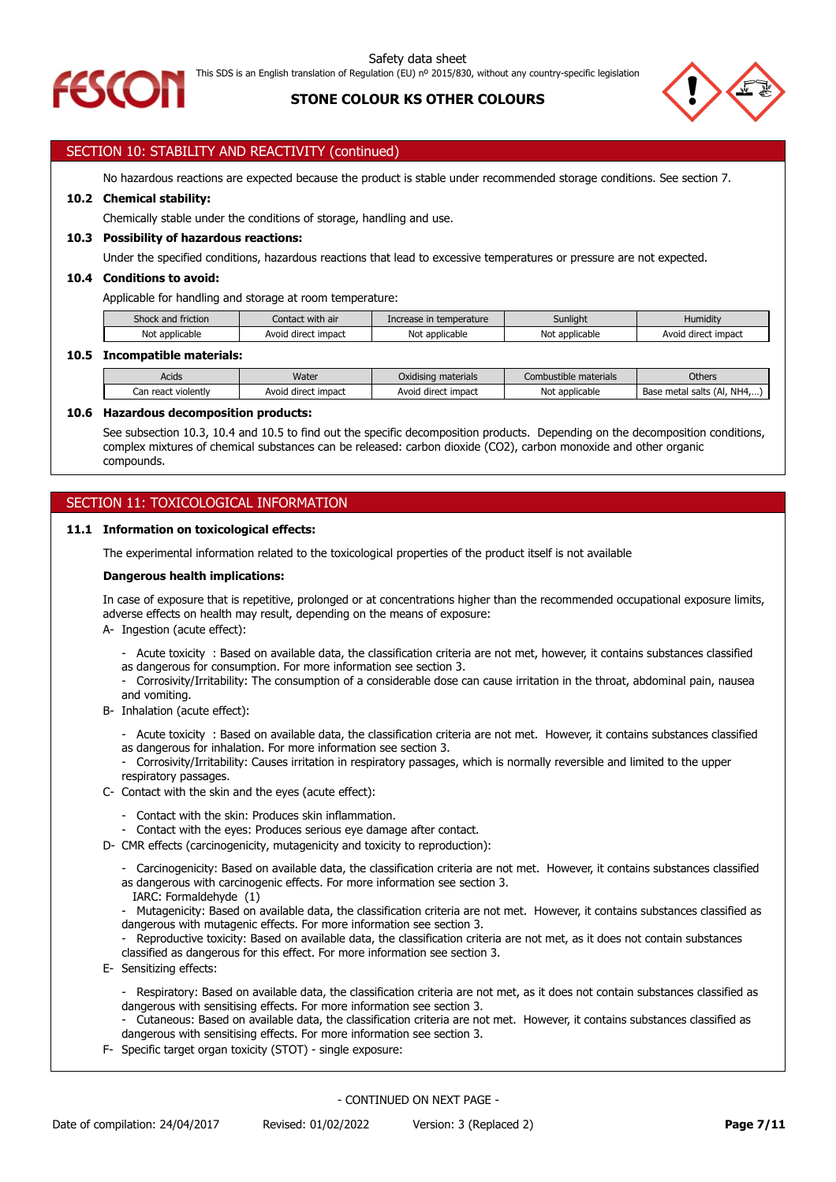



# SECTION 10: STABILITY AND REACTIVITY (continued)

No hazardous reactions are expected because the product is stable under recommended storage conditions. See section 7.

# **10.2 Chemical stability:**

Chemically stable under the conditions of storage, handling and use.

### **10.3 Possibility of hazardous reactions:**

Under the specified conditions, hazardous reactions that lead to excessive temperatures or pressure are not expected.

### **10.4 Conditions to avoid:**

Applicable for handling and storage at room temperature:

| $\sim$<br>Shock and friction | Contact with air          | Increase in temperature | Sunlight              | Humiditv            |
|------------------------------|---------------------------|-------------------------|-----------------------|---------------------|
| Not applicable               | impact<br>Avoid<br>direct | Not applicable          | : applicable<br>. Not | Avoid direct impact |

### **10.5 Incompatible materials:**

| Acids                     | Water                         | Oxidising materials      | Combustible materials | <b>Others</b>                    |
|---------------------------|-------------------------------|--------------------------|-----------------------|----------------------------------|
| violently<br>react<br>Can | : impact<br>Avoid<br>' direct | i direct impact<br>Avoid | Not<br>applicable *   | (AI, NHA,)<br>Base metal salts i |

### **10.6 Hazardous decomposition products:**

See subsection 10.3, 10.4 and 10.5 to find out the specific decomposition products. Depending on the decomposition conditions, complex mixtures of chemical substances can be released: carbon dioxide (CO2), carbon monoxide and other organic compounds.

# SECTION 11: TOXICOLOGICAL INFORMATION

### **11.1 Information on toxicological effects:**

The experimental information related to the toxicological properties of the product itself is not available

### **Dangerous health implications:**

In case of exposure that is repetitive, prolonged or at concentrations higher than the recommended occupational exposure limits, adverse effects on health may result, depending on the means of exposure:

A- Ingestion (acute effect):

- Acute toxicity : Based on available data, the classification criteria are not met, however, it contains substances classified
- as dangerous for consumption. For more information see section 3.
- Corrosivity/Irritability: The consumption of a considerable dose can cause irritation in the throat, abdominal pain, nausea and vomiting.
- B- Inhalation (acute effect):
	- Acute toxicity : Based on available data, the classification criteria are not met. However, it contains substances classified as dangerous for inhalation. For more information see section 3.
	- Corrosivity/Irritability: Causes irritation in respiratory passages, which is normally reversible and limited to the upper respiratory passages.
- C- Contact with the skin and the eyes (acute effect):
	- Contact with the skin: Produces skin inflammation.
	- Contact with the eyes: Produces serious eye damage after contact.
- D- CMR effects (carcinogenicity, mutagenicity and toxicity to reproduction):
	- Carcinogenicity: Based on available data, the classification criteria are not met. However, it contains substances classified as dangerous with carcinogenic effects. For more information see section 3.
	- IARC: Formaldehyde (1)
	- Mutagenicity: Based on available data, the classification criteria are not met. However, it contains substances classified as dangerous with mutagenic effects. For more information see section 3.
	- Reproductive toxicity: Based on available data, the classification criteria are not met, as it does not contain substances classified as dangerous for this effect. For more information see section 3.
- E- Sensitizing effects:
	- Respiratory: Based on available data, the classification criteria are not met, as it does not contain substances classified as dangerous with sensitising effects. For more information see section 3.
	- Cutaneous: Based on available data, the classification criteria are not met. However, it contains substances classified as dangerous with sensitising effects. For more information see section 3.
- F- Specific target organ toxicity (STOT) single exposure: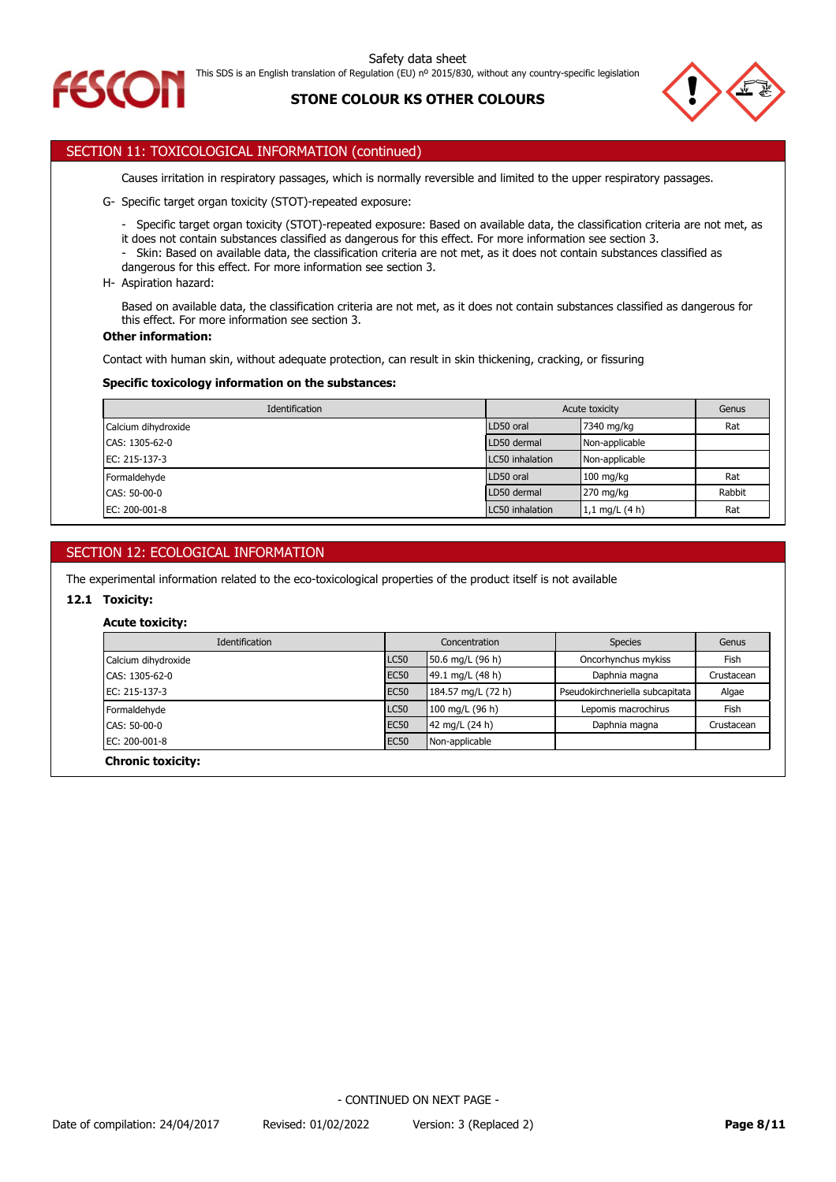

This SDS is an English translation of Regulation (EU) nº 2015/830, without any country-specific legislation



# **STONE COLOUR KS OTHER COLOURS**



# SECTION 11: TOXICOLOGICAL INFORMATION (continued)

Causes irritation in respiratory passages, which is normally reversible and limited to the upper respiratory passages.

- G- Specific target organ toxicity (STOT)-repeated exposure:
	- Specific target organ toxicity (STOT)-repeated exposure: Based on available data, the classification criteria are not met, as it does not contain substances classified as dangerous for this effect. For more information see section 3.
	- Skin: Based on available data, the classification criteria are not met, as it does not contain substances classified as
	- dangerous for this effect. For more information see section 3.
- H- Aspiration hazard:

Based on available data, the classification criteria are not met, as it does not contain substances classified as dangerous for this effect. For more information see section 3.

## **Other information:**

Contact with human skin, without adequate protection, can result in skin thickening, cracking, or fissuring

### **Specific toxicology information on the substances:**

| <b>Identification</b> | Acute toxicity  |                  | Genus  |
|-----------------------|-----------------|------------------|--------|
| Calcium dihydroxide   | LD50 oral       | 7340 mg/kg       | Rat    |
| CAS: 1305-62-0        | LD50 dermal     | Non-applicable   |        |
| EC: 215-137-3         | LC50 inhalation | Non-applicable   |        |
| Formaldehyde          | LD50 oral       | $100$ mg/kg      | Rat    |
| CAS: 50-00-0          | LD50 dermal     | 270 mg/kg        | Rabbit |
| EC: 200-001-8         | LC50 inhalation | 1,1 mg/L $(4 h)$ | Rat    |

# SECTION 12: ECOLOGICAL INFORMATION

The experimental information related to the eco-toxicological properties of the product itself is not available

# **12.1 Toxicity:**

### **Acute toxicity:**

| Identification      |             | Concentration      | <b>Species</b>                  | Genus       |
|---------------------|-------------|--------------------|---------------------------------|-------------|
| Calcium dihydroxide | <b>LC50</b> | 50.6 mg/L (96 h)   | Oncorhynchus mykiss             | Fish        |
| CAS: 1305-62-0      | <b>EC50</b> | 49.1 mg/L (48 h)   | Daphnia magna                   | Crustacean  |
| EC: 215-137-3       | <b>EC50</b> | 184.57 mg/L (72 h) | Pseudokirchneriella subcapitata | Algae       |
| Formaldehyde        | <b>LC50</b> | 100 mg/L (96 h)    | Lepomis macrochirus             | <b>Fish</b> |
| CAS: 50-00-0        | <b>EC50</b> | 42 mg/L (24 h)     | Daphnia magna                   | Crustacean  |
| $EC: 200-001-8$     | <b>EC50</b> | Non-applicable     |                                 |             |
| Chronic tovicitus   |             |                    |                                 |             |

**Chronic toxicity:**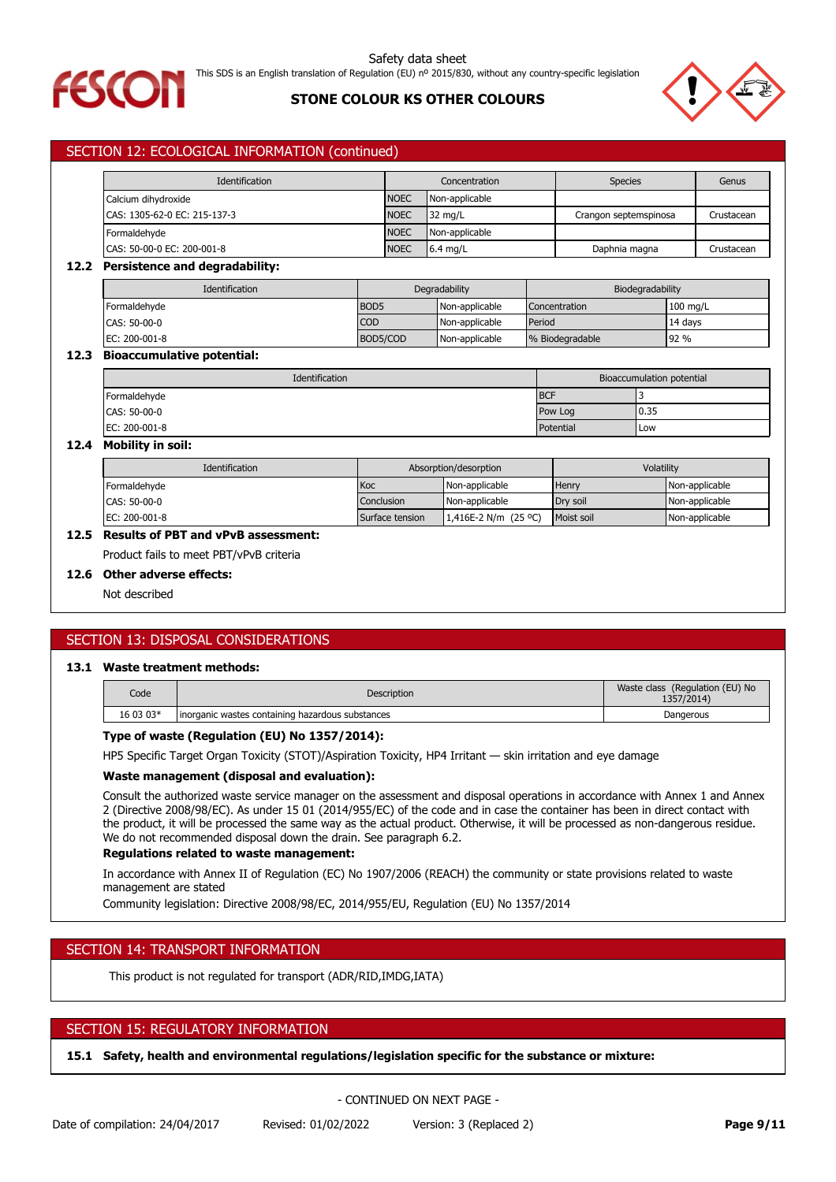

Safety data sheet This SDS is an English translation of Regulation (EU) nº 2015/830, without any country-specific legislation

# **STONE COLOUR KS OTHER COLOURS**



# SECTION 12: ECOLOGICAL INFORMATION (continued)

| Identification               |             | Concentration     | <b>Species</b>        | Genus      |
|------------------------------|-------------|-------------------|-----------------------|------------|
| Calcium dihydroxide          | <b>NOEC</b> | Non-applicable    |                       |            |
| CAS: 1305-62-0 EC: 215-137-3 | <b>NOEC</b> | $32 \text{ mg/L}$ | Crangon septemspinosa | Crustacean |
| Formaldehyde                 | <b>NOEC</b> | Non-applicable    |                       |            |
| CAS: 50-00-0 EC: 200-001-8   | <b>NOEC</b> | $6.4$ mg/L        | Daphnia magna         | Crustacean |

# **12.2 Persistence and degradability:**

| <b>Identification</b> | Degradability    |                | Biodegradability |            |  |
|-----------------------|------------------|----------------|------------------|------------|--|
| Formaldehvde          | BOD <sub>5</sub> | Non-applicable | Concentration    | $100$ mg/L |  |
| CAS: 50-00-0          | <b>COD</b>       | Non-applicable | Period           | 14 davs    |  |
| EC: 200-001-8         | BOD5/COD         | Non-applicable | % Biodegradable  | 92 %       |  |

### **12.3 Bioaccumulative potential:**

| Identification | Bioaccumulation potential |      |  |
|----------------|---------------------------|------|--|
| Formaldehyde   | <b>BCF</b>                |      |  |
| CAS: 50-00-0   | Pow Log                   | 0.35 |  |
| EC: 200-001-8  | Potential                 | Low  |  |

### **12.4 Mobility in soil:**

| <b>Identification</b> | Absorption/desorption |                        | Volatility |                |
|-----------------------|-----------------------|------------------------|------------|----------------|
| Formaldehyde          | Koc                   | Non-applicable         | Henry      | Non-applicable |
| CAS: 50-00-0          | Conclusion            | Non-applicable         | Drv soil   | Non-applicable |
| EC: 200-001-8         | Surface tension       | 1,416E-2 N/m $(25 °C)$ | Moist soil | Non-applicable |

# **12.5 Results of PBT and vPvB assessment:**

Product fails to meet PBT/vPvB criteria

### **12.6 Other adverse effects:**

Not described

# SECTION 13: DISPOSAL CONSIDERATIONS

### **13.1 Waste treatment methods:**

| Code      | <b>Description</b>                                | Waste class (Regulation (EU) No<br>1357/2014) |
|-----------|---------------------------------------------------|-----------------------------------------------|
| 16 03 03* | linorganic wastes containing hazardous substances | Dangerous                                     |

# **Type of waste (Regulation (EU) No 1357/2014):**

HP5 Specific Target Organ Toxicity (STOT)/Aspiration Toxicity, HP4 Irritant — skin irritation and eye damage

### **Waste management (disposal and evaluation):**

Consult the authorized waste service manager on the assessment and disposal operations in accordance with Annex 1 and Annex 2 (Directive 2008/98/EC). As under 15 01 (2014/955/EC) of the code and in case the container has been in direct contact with the product, it will be processed the same way as the actual product. Otherwise, it will be processed as non-dangerous residue. We do not recommended disposal down the drain. See paragraph 6.2.

### **Regulations related to waste management:**

In accordance with Annex II of Regulation (EC) No 1907/2006 (REACH) the community or state provisions related to waste management are stated

Community legislation: Directive 2008/98/EC, 2014/955/EU, Regulation (EU) No 1357/2014

### SECTION 14: TRANSPORT INFORMATION

This product is not regulated for transport (ADR/RID,IMDG,IATA)

### SECTION 15: REGULATORY INFORMATION

**15.1 Safety, health and environmental regulations/legislation specific for the substance or mixture:**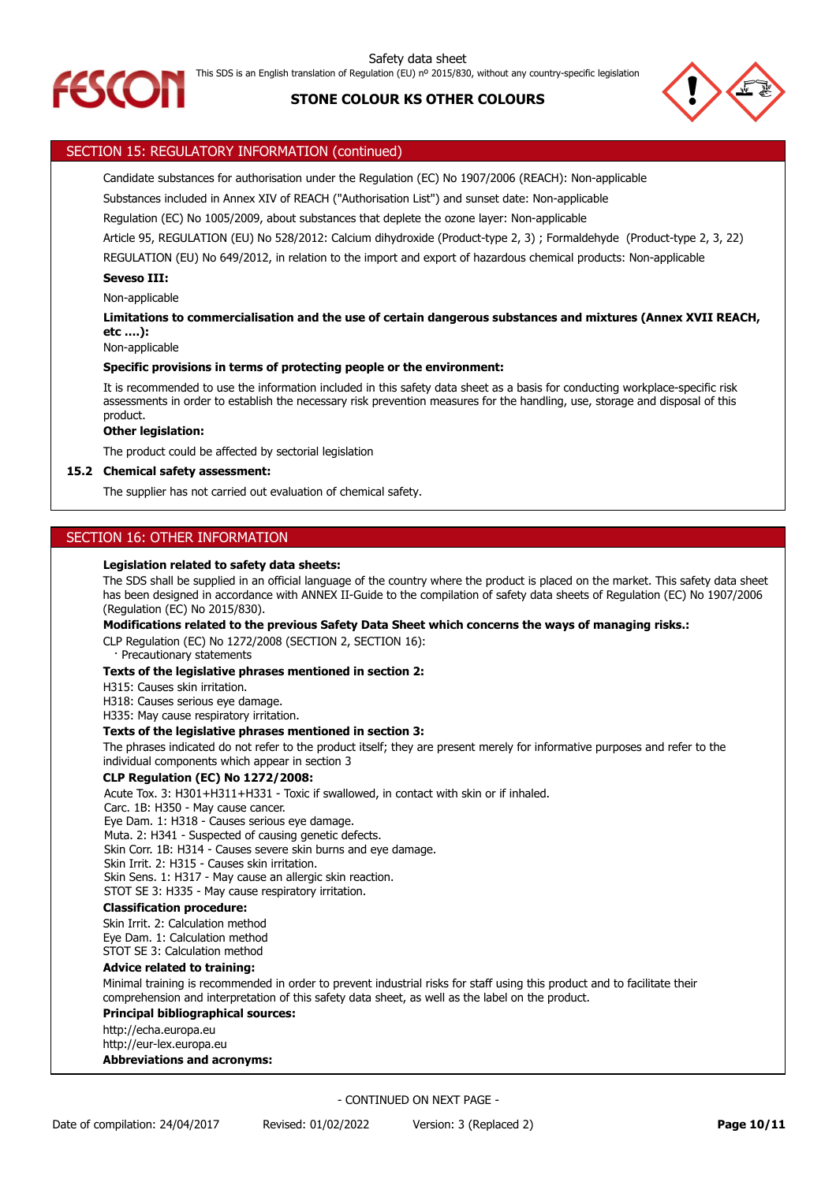



# SECTION 15: REGULATORY INFORMATION (continued)

Candidate substances for authorisation under the Regulation (EC) No 1907/2006 (REACH): Non-applicable

Substances included in Annex XIV of REACH ("Authorisation List") and sunset date: Non-applicable

Regulation (EC) No 1005/2009, about substances that deplete the ozone layer: Non-applicable

Article 95, REGULATION (EU) No 528/2012: Calcium dihydroxide (Product-type 2, 3) ; Formaldehyde (Product-type 2, 3, 22)

REGULATION (EU) No 649/2012, in relation to the import and export of hazardous chemical products: Non-applicable

### **Seveso III:**

Non-applicable

**Limitations to commercialisation and the use of certain dangerous substances and mixtures (Annex XVII REACH, etc ….):**

Non-applicable

### **Specific provisions in terms of protecting people or the environment:**

It is recommended to use the information included in this safety data sheet as a basis for conducting workplace-specific risk assessments in order to establish the necessary risk prevention measures for the handling, use, storage and disposal of this product.

### **Other legislation:**

The product could be affected by sectorial legislation

### **15.2 Chemical safety assessment:**

The supplier has not carried out evaluation of chemical safety.

# SECTION 16: OTHER INFORMATION

### **Legislation related to safety data sheets:**

The SDS shall be supplied in an official language of the country where the product is placed on the market. This safety data sheet has been designed in accordance with ANNEX II-Guide to the compilation of safety data sheets of Regulation (EC) No 1907/2006 (Regulation (EC) No 2015/830).

**Modifications related to the previous Safety Data Sheet which concerns the ways of managing risks.:**

CLP Regulation (EC) No 1272/2008 (SECTION 2, SECTION 16): Precautionary statements

# **Texts of the legislative phrases mentioned in section 2:**

H315: Causes skin irritation.

H318: Causes serious eye damage.

H335: May cause respiratory irritation.

### **Texts of the legislative phrases mentioned in section 3:**

The phrases indicated do not refer to the product itself; they are present merely for informative purposes and refer to the individual components which appear in section 3

# **CLP Regulation (EC) No 1272/2008:**

Acute Tox. 3: H301+H311+H331 - Toxic if swallowed, in contact with skin or if inhaled.

Carc. 1B: H350 - May cause cancer.

Eye Dam. 1: H318 - Causes serious eye damage.

Muta. 2: H341 - Suspected of causing genetic defects.

Skin Corr. 1B: H314 - Causes severe skin burns and eye damage.

Skin Irrit. 2: H315 - Causes skin irritation.

Skin Sens. 1: H317 - May cause an allergic skin reaction.

STOT SE 3: H335 - May cause respiratory irritation.

### **Classification procedure:**

Skin Irrit. 2: Calculation method Eye Dam. 1: Calculation method STOT SE 3: Calculation method

### **Advice related to training:**

Minimal training is recommended in order to prevent industrial risks for staff using this product and to facilitate their comprehension and interpretation of this safety data sheet, as well as the label on the product.

### **Principal bibliographical sources:**

http://echa.europa.eu

http://eur-lex.europa.eu

# **Abbreviations and acronyms:**